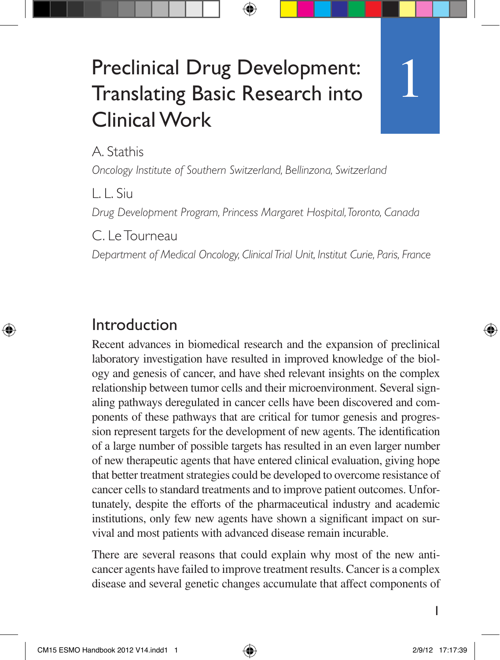# Preclinical Drug Development: Translating Basic Research into Clinical Work

A. Stathis

*Oncology Institute of Southern Switzerland, Bellinzona, Switzerland*

L. L. Siu

*Drug Development Program, Princess Margaret Hospital, Toronto, Canada*

C. Le Tourneau

*Department of Medical Oncology, Clinical Trial Unit, Institut Curie, Paris, France*

#### Introduction

Recent advances in biomedical research and the expansion of preclinical laboratory investigation have resulted in improved knowledge of the biology and genesis of cancer, and have shed relevant insights on the complex relationship between tumor cells and their microenvironment. Several signaling pathways deregulated in cancer cells have been discovered and components of these pathways that are critical for tumor genesis and progression represent targets for the development of new agents. The identification of a large number of possible targets has resulted in an even larger number of new therapeutic agents that have entered clinical evaluation, giving hope that better treatment strategies could be developed to overcome resistance of cancer cells to standard treatments and to improve patient outcomes. Unfortunately, despite the efforts of the pharmaceutical industry and academic institutions, only few new agents have shown a significant impact on survival and most patients with advanced disease remain incurable.

There are several reasons that could explain why most of the new anticancer agents have failed to improve treatment results. Cancer is a complex disease and several genetic changes accumulate that affect components of

1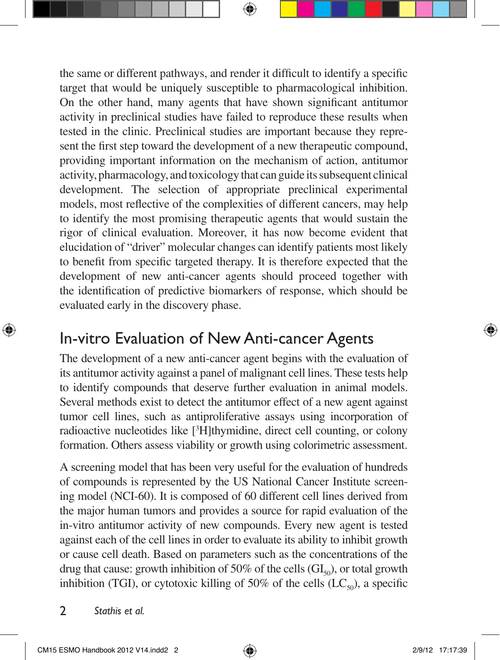the same or different pathways, and render it difficult to identify a specific target that would be uniquely susceptible to pharmacological inhibition. On the other hand, many agents that have shown significant antitumor activity in preclinical studies have failed to reproduce these results when tested in the clinic. Preclinical studies are important because they represent the first step toward the development of a new therapeutic compound, providing important information on the mechanism of action, antitumor activity, pharmacology, and toxicology that can guide its subsequent clinical development. The selection of appropriate preclinical experimental models, most reflective of the complexities of different cancers, may help to identify the most promising therapeutic agents that would sustain the rigor of clinical evaluation. Moreover, it has now become evident that elucidation of "driver" molecular changes can identify patients most likely to benefit from specific targeted therapy. It is therefore expected that the development of new anti-cancer agents should proceed together with the identification of predictive biomarkers of response, which should be evaluated early in the discovery phase.

### In-vitro Evaluation of New Anti-cancer Agents

The development of a new anti-cancer agent begins with the evaluation of its antitumor activity against a panel of malignant cell lines. These tests help to identify compounds that deserve further evaluation in animal models. Several methods exist to detect the antitumor effect of a new agent against tumor cell lines, such as antiproliferative assays using incorporation of radioactive nucleotides like [<sup>3</sup>H]thymidine, direct cell counting, or colony formation. Others assess viability or growth using colorimetric assessment.

A screening model that has been very useful for the evaluation of hundreds of compounds is represented by the US National Cancer Institute screening model (NCI-60). It is composed of 60 different cell lines derived from the major human tumors and provides a source for rapid evaluation of the in-vitro antitumor activity of new compounds. Every new agent is tested against each of the cell lines in order to evaluate its ability to inhibit growth or cause cell death. Based on parameters such as the concentrations of the drug that cause: growth inhibition of 50% of the cells  $(\mathrm{GI}_{50})$ , or total growth inhibition (TGI), or cytotoxic killing of 50% of the cells  $(LC_{50})$ , a specific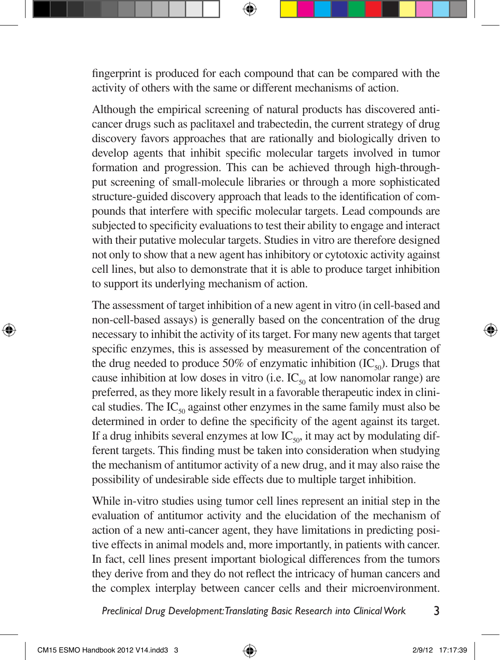fingerprint is produced for each compound that can be compared with the activity of others with the same or different mechanisms of action.

Although the empirical screening of natural products has discovered anticancer drugs such as paclitaxel and trabectedin, the current strategy of drug discovery favors approaches that are rationally and biologically driven to develop agents that inhibit specific molecular targets involved in tumor formation and progression. This can be achieved through high-throughput screening of small-molecule libraries or through a more sophisticated structure-guided discovery approach that leads to the identification of compounds that interfere with specific molecular targets. Lead compounds are subjected to specificity evaluations to test their ability to engage and interact with their putative molecular targets. Studies in vitro are therefore designed not only to show that a new agent has inhibitory or cytotoxic activity against cell lines, but also to demonstrate that it is able to produce target inhibition to support its underlying mechanism of action.

The assessment of target inhibition of a new agent in vitro (in cell-based and non-cell-based assays) is generally based on the concentration of the drug necessary to inhibit the activity of its target. For many new agents that target specific enzymes, this is assessed by measurement of the concentration of the drug needed to produce 50% of enzymatic inhibition  $(IC_{\rm so})$ . Drugs that cause inhibition at low doses in vitro (i.e.  $IC_{50}$  at low nanomolar range) are preferred, as they more likely result in a favorable therapeutic index in clinical studies. The  $IC_{50}$  against other enzymes in the same family must also be determined in order to define the specificity of the agent against its target. If a drug inhibits several enzymes at low  $\text{IC}_{\text{so}}$ , it may act by modulating different targets. This finding must be taken into consideration when studying the mechanism of antitumor activity of a new drug, and it may also raise the possibility of undesirable side effects due to multiple target inhibition.

While in-vitro studies using tumor cell lines represent an initial step in the evaluation of antitumor activity and the elucidation of the mechanism of action of a new anti-cancer agent, they have limitations in predicting positive effects in animal models and, more importantly, in patients with cancer. In fact, cell lines present important biological differences from the tumors they derive from and they do not reflect the intricacy of human cancers and the complex interplay between cancer cells and their microenvironment.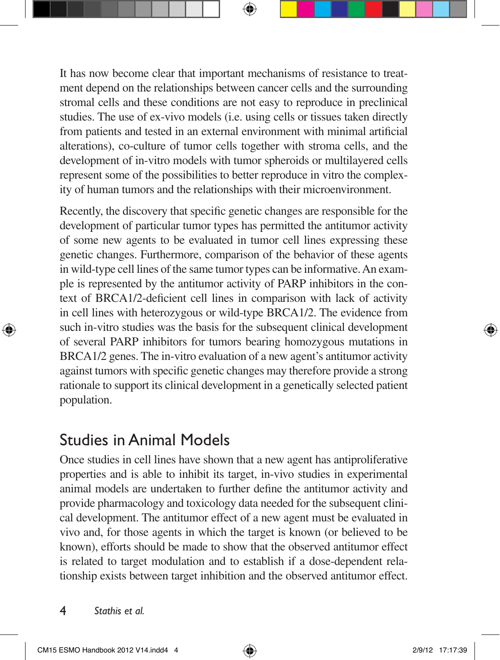It has now become clear that important mechanisms of resistance to treatment depend on the relationships between cancer cells and the surrounding stromal cells and these conditions are not easy to reproduce in preclinical studies. The use of ex-vivo models (i.e. using cells or tissues taken directly from patients and tested in an external environment with minimal artificial alterations), co-culture of tumor cells together with stroma cells, and the development of in-vitro models with tumor spheroids or multilayered cells represent some of the possibilities to better reproduce in vitro the complexity of human tumors and the relationships with their microenvironment.

Recently, the discovery that specific genetic changes are responsible for the development of particular tumor types has permitted the antitumor activity of some new agents to be evaluated in tumor cell lines expressing these genetic changes. Furthermore, comparison of the behavior of these agents in wild-type cell lines of the same tumor types can be informative. An example is represented by the antitumor activity of PARP inhibitors in the context of BRCA1/2-deficient cell lines in comparison with lack of activity in cell lines with heterozygous or wild-type BRCA1/2. The evidence from such in-vitro studies was the basis for the subsequent clinical development of several PARP inhibitors for tumors bearing homozygous mutations in BRCA1/2 genes. The in-vitro evaluation of a new agent's antitumor activity against tumors with specific genetic changes may therefore provide a strong rationale to support its clinical development in a genetically selected patient population.

### Studies in Animal Models

Once studies in cell lines have shown that a new agent has antiproliferative properties and is able to inhibit its target, in-vivo studies in experimental animal models are undertaken to further define the antitumor activity and provide pharmacology and toxicology data needed for the subsequent clinical development. The antitumor effect of a new agent must be evaluated in vivo and, for those agents in which the target is known (or believed to be known), efforts should be made to show that the observed antitumor effect is related to target modulation and to establish if a dose-dependent relationship exists between target inhibition and the observed antitumor effect.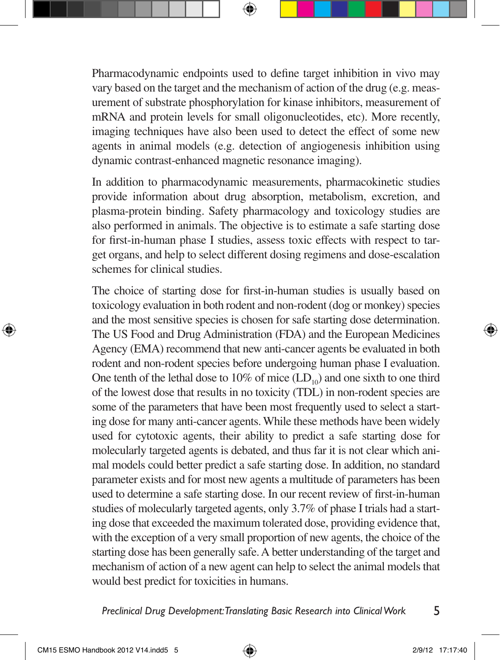Pharmacodynamic endpoints used to define target inhibition in vivo may vary based on the target and the mechanism of action of the drug (e.g. measurement of substrate phosphorylation for kinase inhibitors, measurement of mRNA and protein levels for small oligonucleotides, etc). More recently, imaging techniques have also been used to detect the effect of some new agents in animal models (e.g. detection of angiogenesis inhibition using dynamic contrast-enhanced magnetic resonance imaging).

In addition to pharmacodynamic measurements, pharmacokinetic studies provide information about drug absorption, metabolism, excretion, and plasma-protein binding. Safety pharmacology and toxicology studies are also performed in animals. The objective is to estimate a safe starting dose for first-in-human phase I studies, assess toxic effects with respect to target organs, and help to select different dosing regimens and dose-escalation schemes for clinical studies.

The choice of starting dose for first-in-human studies is usually based on toxicology evaluation in both rodent and non-rodent (dog or monkey) species and the most sensitive species is chosen for safe starting dose determination. The US Food and Drug Administration (FDA) and the European Medicines Agency (EMA) recommend that new anti-cancer agents be evaluated in both rodent and non-rodent species before undergoing human phase I evaluation. One tenth of the lethal dose to 10% of mice  $(LD_{10})$  and one sixth to one third of the lowest dose that results in no toxicity (TDL) in non-rodent species are some of the parameters that have been most frequently used to select a starting dose for many anti-cancer agents. While these methods have been widely used for cytotoxic agents, their ability to predict a safe starting dose for molecularly targeted agents is debated, and thus far it is not clear which animal models could better predict a safe starting dose. In addition, no standard parameter exists and for most new agents a multitude of parameters has been used to determine a safe starting dose. In our recent review of first-in-human studies of molecularly targeted agents, only 3.7% of phase I trials had a starting dose that exceeded the maximum tolerated dose, providing evidence that, with the exception of a very small proportion of new agents, the choice of the starting dose has been generally safe. A better understanding of the target and mechanism of action of a new agent can help to select the animal models that would best predict for toxicities in humans.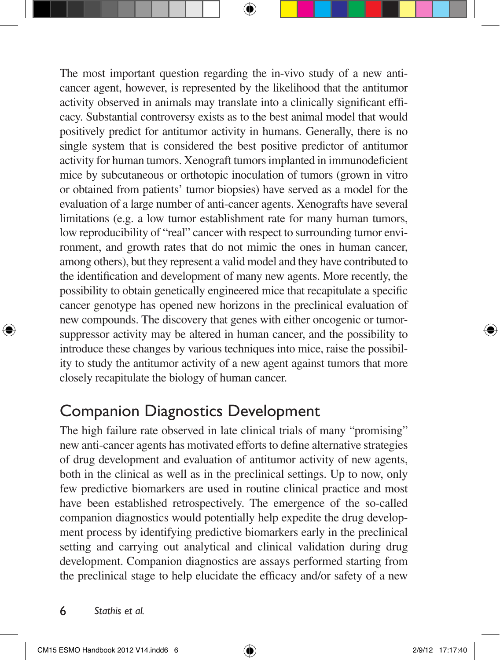The most important question regarding the in-vivo study of a new anticancer agent, however, is represented by the likelihood that the antitumor activity observed in animals may translate into a clinically significant efficacy. Substantial controversy exists as to the best animal model that would positively predict for antitumor activity in humans. Generally, there is no single system that is considered the best positive predictor of antitumor activity for human tumors. Xenograft tumors implanted in immunodeficient mice by subcutaneous or orthotopic inoculation of tumors (grown in vitro or obtained from patients' tumor biopsies) have served as a model for the evaluation of a large number of anti-cancer agents. Xenografts have several limitations (e.g. a low tumor establishment rate for many human tumors, low reproducibility of "real" cancer with respect to surrounding tumor environment, and growth rates that do not mimic the ones in human cancer, among others), but they represent a valid model and they have contributed to the identification and development of many new agents. More recently, the possibility to obtain genetically engineered mice that recapitulate a specific cancer genotype has opened new horizons in the preclinical evaluation of new compounds. The discovery that genes with either oncogenic or tumorsuppressor activity may be altered in human cancer, and the possibility to introduce these changes by various techniques into mice, raise the possibility to study the antitumor activity of a new agent against tumors that more closely recapitulate the biology of human cancer.

### Companion Diagnostics Development

The high failure rate observed in late clinical trials of many "promising" new anti-cancer agents has motivated efforts to define alternative strategies of drug development and evaluation of antitumor activity of new agents, both in the clinical as well as in the preclinical settings. Up to now, only few predictive biomarkers are used in routine clinical practice and most have been established retrospectively. The emergence of the so-called companion diagnostics would potentially help expedite the drug development process by identifying predictive biomarkers early in the preclinical setting and carrying out analytical and clinical validation during drug development. Companion diagnostics are assays performed starting from the preclinical stage to help elucidate the efficacy and/or safety of a new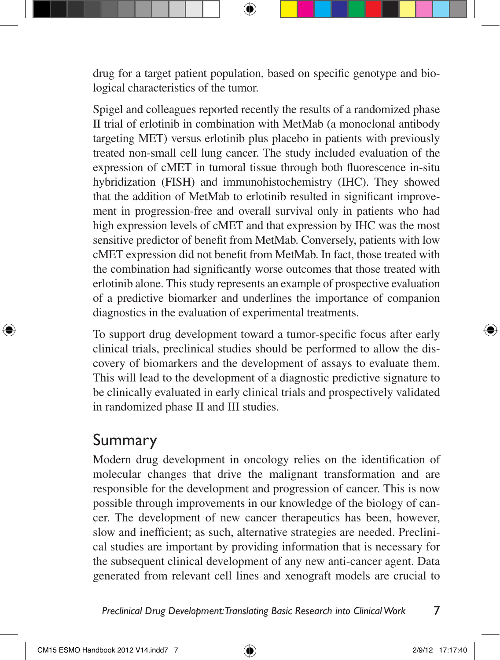drug for a target patient population, based on specific genotype and biological characteristics of the tumor.

Spigel and colleagues reported recently the results of a randomized phase II trial of erlotinib in combination with MetMab (a monoclonal antibody targeting MET) versus erlotinib plus placebo in patients with previously treated non-small cell lung cancer. The study included evaluation of the expression of cMET in tumoral tissue through both fluorescence in-situ hybridization (FISH) and immunohistochemistry (IHC). They showed that the addition of MetMab to erlotinib resulted in significant improvement in progression-free and overall survival only in patients who had high expression levels of cMET and that expression by IHC was the most sensitive predictor of benefit from MetMab. Conversely, patients with low cMET expression did not benefit from MetMab. In fact, those treated with the combination had significantly worse outcomes that those treated with erlotinib alone. This study represents an example of prospective evaluation of a predictive biomarker and underlines the importance of companion diagnostics in the evaluation of experimental treatments.

To support drug development toward a tumor-specific focus after early clinical trials, preclinical studies should be performed to allow the discovery of biomarkers and the development of assays to evaluate them. This will lead to the development of a diagnostic predictive signature to be clinically evaluated in early clinical trials and prospectively validated in randomized phase II and III studies.

## Summary

Modern drug development in oncology relies on the identification of molecular changes that drive the malignant transformation and are responsible for the development and progression of cancer. This is now possible through improvements in our knowledge of the biology of cancer. The development of new cancer therapeutics has been, however, slow and inefficient; as such, alternative strategies are needed. Preclinical studies are important by providing information that is necessary for the subsequent clinical development of any new anti-cancer agent. Data generated from relevant cell lines and xenograft models are crucial to